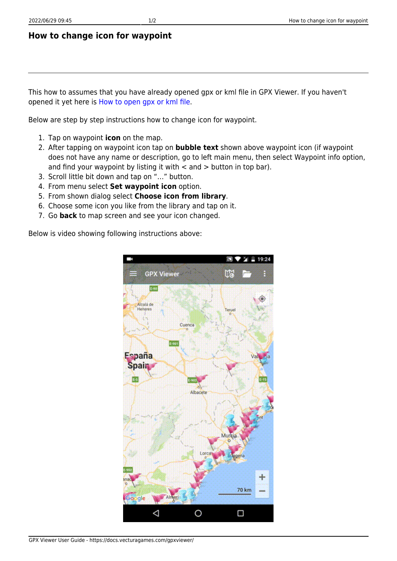GPX Viewer User Guide - https://docs.vecturagames.com/gpxviewer/

## **How to change icon for waypoint**

This how to assumes that you have already opened gpx or kml file in GPX Viewer. If you haven't opened it yet here is [How to open gpx or kml file](https://docs.vecturagames.com/gpxviewer/doku.php?id=docs:faq:how_to:open_file).

Below are step by step instructions how to change icon for waypoint.

- 1. Tap on waypoint **icon** on the map.
- 2. After tapping on waypoint icon tap on **bubble text** shown above waypoint icon (if waypoint does not have any name or description, go to left main menu, then select Waypoint info option, and find your waypoint by listing it with  $\lt$  and  $\gt$  button in top bar).
- 3. Scroll little bit down and tap on "…" button.
- 4. From menu select **Set waypoint icon** option.
- 5. From shown dialog select **Choose icon from library**.
- 6. Choose some icon you like from the library and tap on it.
- 7. Go **back** to map screen and see your icon changed.

Below is video showing following instructions above: